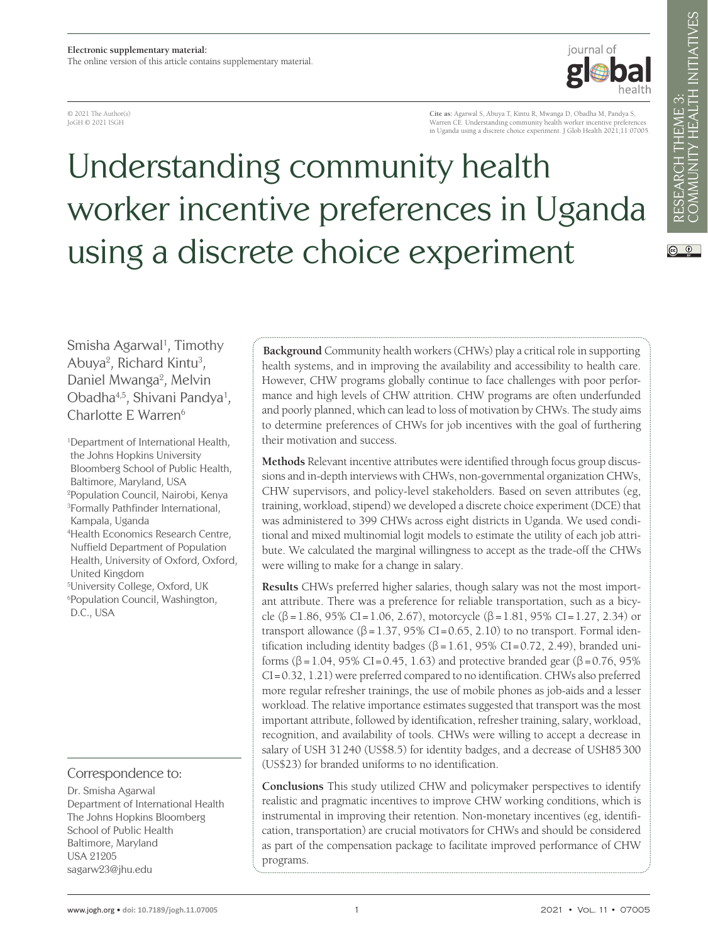© 2021 The Author(s) JoGH © 2021 ISGH

**Cite as:** Agarwal S, Abuya T, Kintu R, Mwanga D, Obadha M, Pandya S, Warren CE. Understanding community health worker incentive preferences in Uganda using a discrete choice experiment. J Glob Health 2021;11:07005.

iournal of

# Understanding community health worker incentive preferences in Uganda using a discrete choice experiment

Smisha Agarwal<sup>1</sup>, Timothy Abuya<sup>2</sup>, Richard Kintu<sup>3</sup>, Daniel Mwanga<sup>2</sup>, Melvin Obadha<sup>4,5</sup>, Shivani Pandya<sup>1</sup>, Charlotte E Warren<sup>6</sup>

1 Department of International Health, the Johns Hopkins University Bloomberg School of Public Health, Baltimore, Maryland, USA 2 Population Council, Nairobi, Kenya 3 Formally Pathfinder International, Kampala, Uganda 4 Health Economics Research Centre, Nuffield Department of Population Health, University of Oxford, Oxford, United Kingdom 5 University College, Oxford, UK 6 Population Council, Washington, D.C., USA

#### Correspondence to:

Dr. Smisha Agarwal Department of International Health The Johns Hopkins Bloomberg School of Public Health Baltimore, Maryland USA 21205 sagarw23@jhu.edu

**Background** Community health workers (CHWs) play a critical role in supporting health systems, and in improving the availability and accessibility to health care. However, CHW programs globally continue to face challenges with poor performance and high levels of CHW attrition. CHW programs are often underfunded and poorly planned, which can lead to loss of motivation by CHWs. The study aims to determine preferences of CHWs for job incentives with the goal of furthering their motivation and success.

**Methods** Relevant incentive attributes were identified through focus group discussions and in-depth interviews with CHWs, non-governmental organization CHWs, CHW supervisors, and policy-level stakeholders. Based on seven attributes (eg, training, workload, stipend) we developed a discrete choice experiment (DCE) that was administered to 399 CHWs across eight districts in Uganda. We used conditional and mixed multinomial logit models to estimate the utility of each job attribute. We calculated the marginal willingness to accept as the trade-off the CHWs were willing to make for a change in salary.

**Results** CHWs preferred higher salaries, though salary was not the most important attribute. There was a preference for reliable transportation, such as a bicycle (β = 1.86, 95% CI = 1.06, 2.67), motorcycle (β = 1.81, 95% CI = 1.27, 2.34) or transport allowance  $(\beta = 1.37, 95\% \text{ CI} = 0.65, 2.10)$  to no transport. Formal identification including identity badges ( $\beta$  = 1.61, 95% CI = 0.72, 2.49), branded uniforms (β =1.04, 95% CI=0.45, 1.63) and protective branded gear (β =0.76, 95% CI=0.32, 1.21) were preferred compared to no identification. CHWs also preferred more regular refresher trainings, the use of mobile phones as job-aids and a lesser workload. The relative importance estimates suggested that transport was the most important attribute, followed by identification, refresher training, salary, workload, recognition, and availability of tools. CHWs were willing to accept a decrease in salary of USH 31240 (US\$8.5) for identity badges, and a decrease of USH85300 (US\$23) for branded uniforms to no identification.

**Conclusions** This study utilized CHW and policymaker perspectives to identify realistic and pragmatic incentives to improve CHW working conditions, which is instrumental in improving their retention. Non-monetary incentives (eg, identification, transportation) are crucial motivators for CHWs and should be considered as part of the compensation package to facilitate improved performance of CHW programs.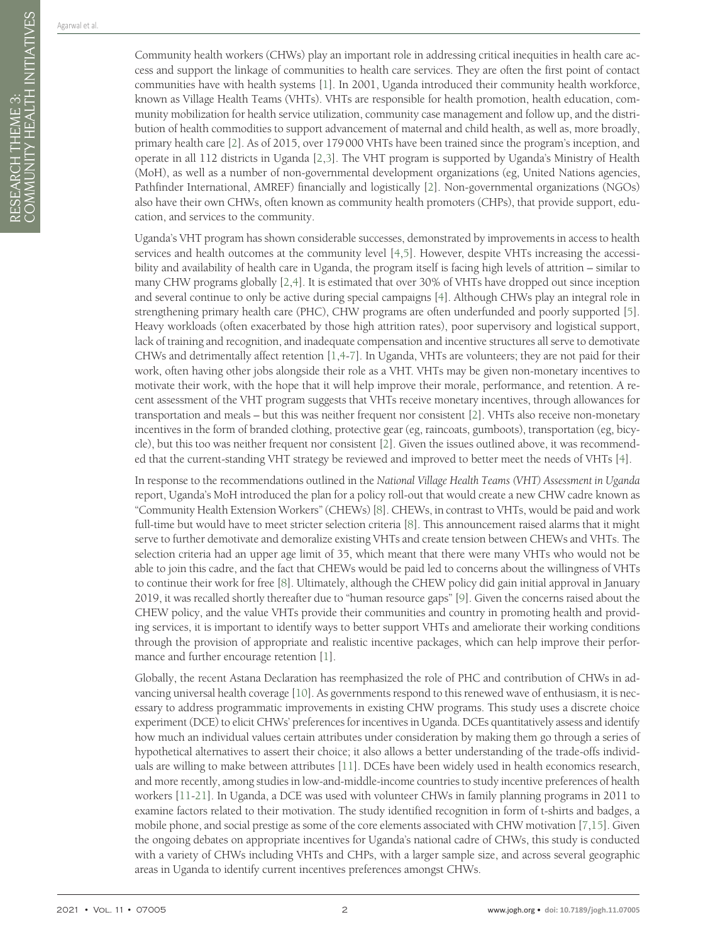Community health workers (CHWs) play an important role in addressing critical inequities in health care access and support the linkage of communities to health care services. They are often the first point of contact communities have with health systems [\[1\]](#page-8-0). In 2001, Uganda introduced their community health workforce, known as Village Health Teams (VHTs). VHTs are responsible for health promotion, health education, community mobilization for health service utilization, community case management and follow up, and the distribution of health commodities to support advancement of maternal and child health, as well as, more broadly, primary health care [[2\]](#page-8-1). As of 2015, over 179000 VHTs have been trained since the program's inception, and operate in all 112 districts in Uganda [\[2,](#page-8-1)[3](#page-8-2)]. The VHT program is supported by Uganda's Ministry of Health (MoH), as well as a number of non-governmental development organizations (eg, United Nations agencies, Pathfinder International, AMREF) financially and logistically [[2](#page-8-1)]. Non-governmental organizations (NGOs) also have their own CHWs, often known as community health promoters (CHPs), that provide support, education, and services to the community.

Uganda's VHT program has shown considerable successes, demonstrated by improvements in access to health services and health outcomes at the community level [[4](#page-8-3)[,5](#page-8-4)]. However, despite VHTs increasing the accessibility and availability of health care in Uganda, the program itself is facing high levels of attrition – similar to many CHW programs globally [[2,](#page-8-1)[4](#page-8-3)]. It is estimated that over 30% of VHTs have dropped out since inception and several continue to only be active during special campaigns [[4\]](#page-8-3). Although CHWs play an integral role in strengthening primary health care (PHC), CHW programs are often underfunded and poorly supported [[5\]](#page-8-4). Heavy workloads (often exacerbated by those high attrition rates), poor supervisory and logistical support, lack of training and recognition, and inadequate compensation and incentive structures all serve to demotivate CHWs and detrimentally affect retention [\[1](#page-8-0),[4](#page-8-3)[-7](#page-9-0)]. In Uganda, VHTs are volunteers; they are not paid for their work, often having other jobs alongside their role as a VHT. VHTs may be given non-monetary incentives to motivate their work, with the hope that it will help improve their morale, performance, and retention. A recent assessment of the VHT program suggests that VHTs receive monetary incentives, through allowances for transportation and meals – but this was neither frequent nor consistent [\[2](#page-8-1)]. VHTs also receive non-monetary incentives in the form of branded clothing, protective gear (eg, raincoats, gumboots), transportation (eg, bicycle), but this too was neither frequent nor consistent [\[2](#page-8-1)]. Given the issues outlined above, it was recommended that the current-standing VHT strategy be reviewed and improved to better meet the needs of VHTs [\[4](#page-8-3)].

In response to the recommendations outlined in the *National Village Health Teams (VHT) Assessment in Uganda* report, Uganda's MoH introduced the plan for a policy roll-out that would create a new CHW cadre known as "Community Health Extension Workers" (CHEWs) [[8\]](#page-9-1). CHEWs, in contrast to VHTs, would be paid and work full-time but would have to meet stricter selection criteria [\[8](#page-9-1)]. This announcement raised alarms that it might serve to further demotivate and demoralize existing VHTs and create tension between CHEWs and VHTs. The selection criteria had an upper age limit of 35, which meant that there were many VHTs who would not be able to join this cadre, and the fact that CHEWs would be paid led to concerns about the willingness of VHTs to continue their work for free [[8\]](#page-9-1). Ultimately, although the CHEW policy did gain initial approval in January 2019, it was recalled shortly thereafter due to "human resource gaps" [\[9](#page-9-2)]. Given the concerns raised about the CHEW policy, and the value VHTs provide their communities and country in promoting health and providing services, it is important to identify ways to better support VHTs and ameliorate their working conditions through the provision of appropriate and realistic incentive packages, which can help improve their performance and further encourage retention [[1\]](#page-8-0).

Globally, the recent Astana Declaration has reemphasized the role of PHC and contribution of CHWs in advancing universal health coverage [[10\]](#page-9-3). As governments respond to this renewed wave of enthusiasm, it is necessary to address programmatic improvements in existing CHW programs. This study uses a discrete choice experiment (DCE) to elicit CHWs' preferences for incentives in Uganda. DCEs quantitatively assess and identify how much an individual values certain attributes under consideration by making them go through a series of hypothetical alternatives to assert their choice; it also allows a better understanding of the trade-offs individuals are willing to make between attributes [\[11\]](#page-9-4). DCEs have been widely used in health economics research, and more recently, among studies in low-and-middle-income countries to study incentive preferences of health workers [[11](#page-9-4)[-21](#page-9-5)]. In Uganda, a DCE was used with volunteer CHWs in family planning programs in 2011 to examine factors related to their motivation. The study identified recognition in form of t-shirts and badges, a mobile phone, and social prestige as some of the core elements associated with CHW motivation [[7](#page-9-0)[,15\]](#page-9-6). Given the ongoing debates on appropriate incentives for Uganda's national cadre of CHWs, this study is conducted with a variety of CHWs including VHTs and CHPs, with a larger sample size, and across several geographic areas in Uganda to identify current incentives preferences amongst CHWs.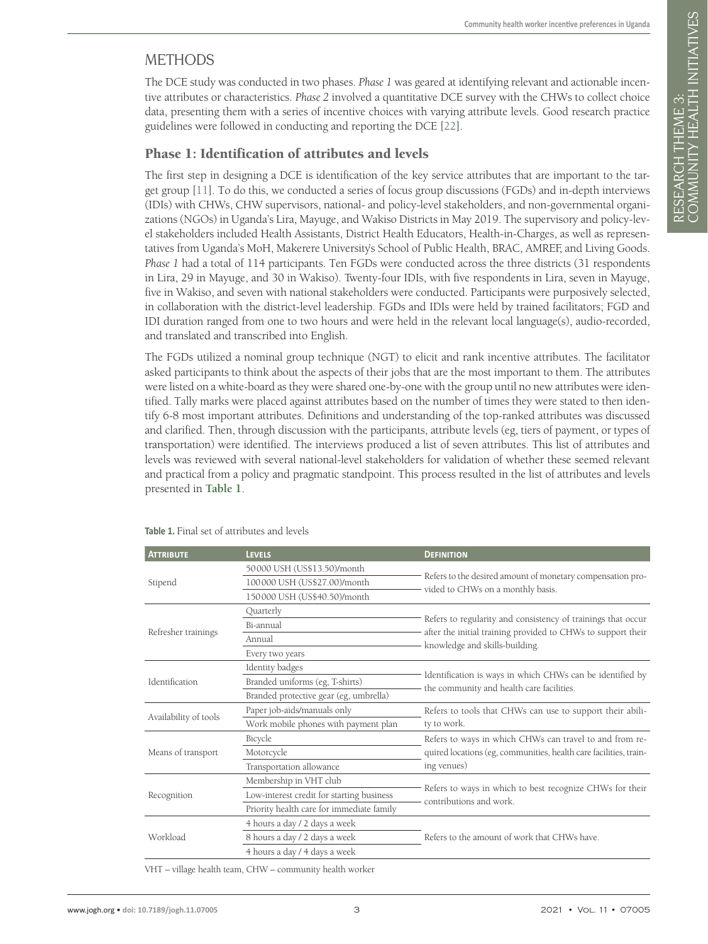# **METHODS**

The DCE study was conducted in two phases. *Phase 1* was geared at identifying relevant and actionable incentive attributes or characteristics. *Phase 2* involved a quantitative DCE survey with the CHWs to collect choice data, presenting them with a series of incentive choices with varying attribute levels. Good research practice guidelines were followed in conducting and reporting the DCE [[22\]](#page-9-7).

## Phase 1: Identification of attributes and levels

The first step in designing a DCE is identification of the key service attributes that are important to the target group [\[11](#page-9-4)]. To do this, we conducted a series of focus group discussions (FGDs) and in-depth interviews (IDIs) with CHWs, CHW supervisors, national- and policy-level stakeholders, and non-governmental organizations (NGOs) in Uganda's Lira, Mayuge, and Wakiso Districts in May 2019. The supervisory and policy-level stakeholders included Health Assistants, District Health Educators, Health-in-Charges, as well as representatives from Uganda's MoH, Makerere University's School of Public Health, BRAC, AMREF, and Living Goods. *Phase 1* had a total of 114 participants. Ten FGDs were conducted across the three districts (31 respondents in Lira, 29 in Mayuge, and 30 in Wakiso). Twenty-four IDIs, with five respondents in Lira, seven in Mayuge, five in Wakiso, and seven with national stakeholders were conducted. Participants were purposively selected, in collaboration with the district-level leadership. FGDs and IDIs were held by trained facilitators; FGD and IDI duration ranged from one to two hours and were held in the relevant local language(s), audio-recorded, and translated and transcribed into English.

The FGDs utilized a nominal group technique (NGT) to elicit and rank incentive attributes. The facilitator asked participants to think about the aspects of their jobs that are the most important to them. The attributes were listed on a white-board as they were shared one-by-one with the group until no new attributes were identified. Tally marks were placed against attributes based on the number of times they were stated to then identify 6-8 most important attributes. Definitions and understanding of the top-ranked attributes was discussed and clarified. Then, through discussion with the participants, attribute levels (eg, tiers of payment, or types of transportation) were identified. The interviews produced a list of seven attributes. This list of attributes and levels was reviewed with several national-level stakeholders for validation of whether these seemed relevant and practical from a policy and pragmatic standpoint. This process resulted in the list of attributes and levels presented in **[Table 1](#page-2-0)**.

| <b>LEVELS</b>                             | <b>DEFINITION</b>                                                                                                                                              |  |  |  |  |
|-------------------------------------------|----------------------------------------------------------------------------------------------------------------------------------------------------------------|--|--|--|--|
| 50000 USH (US\$13.50)/month               | Refers to the desired amount of monetary compensation pro-                                                                                                     |  |  |  |  |
| 100000 USH (US\$27.00)/month              |                                                                                                                                                                |  |  |  |  |
| 150000 USH (US\$40.50)/month              | vided to CHWs on a monthly basis.                                                                                                                              |  |  |  |  |
| Quarterly                                 |                                                                                                                                                                |  |  |  |  |
| Bi-annual                                 | Refers to regularity and consistency of trainings that occur<br>after the initial training provided to CHWs to support their<br>knowledge and skills-building. |  |  |  |  |
| Annual                                    |                                                                                                                                                                |  |  |  |  |
| Every two years                           |                                                                                                                                                                |  |  |  |  |
| Identity badges                           |                                                                                                                                                                |  |  |  |  |
| Branded uniforms (eg, T-shirts)           | Identification is ways in which CHWs can be identified by<br>the community and health care facilities.                                                         |  |  |  |  |
| Branded protective gear (eg, umbrella)    |                                                                                                                                                                |  |  |  |  |
| Paper job-aids/manuals only               | Refers to tools that CHWs can use to support their abili-<br>ty to work.                                                                                       |  |  |  |  |
| Work mobile phones with payment plan      |                                                                                                                                                                |  |  |  |  |
| Bicycle                                   | Refers to ways in which CHWs can travel to and from re-<br>quired locations (eg, communities, health care facilities, train-                                   |  |  |  |  |
| Motorcycle                                |                                                                                                                                                                |  |  |  |  |
| Transportation allowance                  | ing venues)                                                                                                                                                    |  |  |  |  |
| Membership in VHT club                    |                                                                                                                                                                |  |  |  |  |
| Low-interest credit for starting business | Refers to ways in which to best recognize CHWs for their<br>contributions and work.                                                                            |  |  |  |  |
| Priority health care for immediate family |                                                                                                                                                                |  |  |  |  |
| 4 hours a day / 2 days a week             | Refers to the amount of work that CHWs have.                                                                                                                   |  |  |  |  |
| 8 hours a day / 2 days a week             |                                                                                                                                                                |  |  |  |  |
| 4 hours a day / 4 days a week             |                                                                                                                                                                |  |  |  |  |
|                                           |                                                                                                                                                                |  |  |  |  |

<span id="page-2-0"></span>**Table 1.** Final set of attributes and levels

VHT – village health team, CHW – community health worker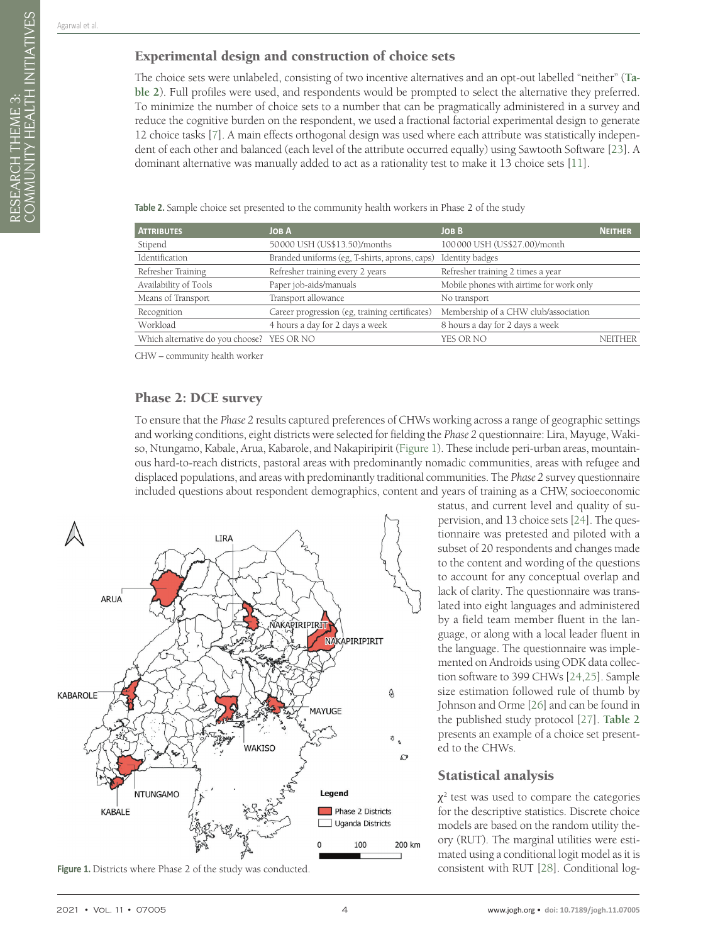RESEARCH THEME 3:

COMMUNITY HEALTH INITIATIVES

RESEARCH THEME 3:<br>COMMUNITY HEALTH INITIATIVES

## Experimental design and construction of choice sets

The choice sets were unlabeled, consisting of two incentive alternatives and an opt-out labelled "neither" (**[Ta](#page-3-0)[ble 2](#page-3-0)**). Full profiles were used, and respondents would be prompted to select the alternative they preferred. To minimize the number of choice sets to a number that can be pragmatically administered in a survey and reduce the cognitive burden on the respondent, we used a fractional factorial experimental design to generate 12 choice tasks [\[7](#page-9-0)]. A main effects orthogonal design was used where each attribute was statistically independent of each other and balanced (each level of the attribute occurred equally) using Sawtooth Software [\[23\]](#page-9-8). A dominant alternative was manually added to act as a rationality test to make it 13 choice sets [[11\]](#page-9-4).

| <b>ATTRIBUTES</b>                          | JOB A                                                         | <b>JOBB</b>                              | <b>NEITHER</b> |
|--------------------------------------------|---------------------------------------------------------------|------------------------------------------|----------------|
| Stipend                                    | 50000 USH (US\$13.50)/months                                  | 100000 USH (US\$27.00)/month             |                |
| Identification                             | Branded uniforms (eg, T-shirts, aprons, caps) Identity badges |                                          |                |
| Refresher Training                         | Refresher training every 2 years                              | Refresher training 2 times a year        |                |
| Availability of Tools                      | Paper job-aids/manuals                                        | Mobile phones with airtime for work only |                |
| Means of Transport                         | Transport allowance                                           | No transport                             |                |
| Recognition                                | Career progression (eg, training certificates)                | Membership of a CHW club/association     |                |
| Workload                                   | 4 hours a day for 2 days a week                               | 8 hours a day for 2 days a week          |                |
| Which alternative do you choose? YES OR NO |                                                               | YES OR NO                                | <b>NEITHER</b> |

<span id="page-3-0"></span>Table 2. Sample choice set presented to the community health workers in Phase 2 of the study

CHW – community health worker

#### Phase 2: DCE survey

To ensure that the *Phase 2* results captured preferences of CHWs working across a range of geographic settings and working conditions, eight districts were selected for fielding the *Phase 2* questionnaire: Lira, Mayuge, Wakiso, Ntungamo, Kabale, Arua, Kabarole, and Nakapiripirit [\(Figure 1\)](#page-3-1). These include peri-urban areas, mountainous hard-to-reach districts, pastoral areas with predominantly nomadic communities, areas with refugee and displaced populations, and areas with predominantly traditional communities. The *Phase 2* survey questionnaire included questions about respondent demographics, content and years of training as a CHW, socioeconomic

<span id="page-3-1"></span>

**Figure 1.** Districts where Phase 2 of the study was conducted. consistent with RUT [\[28](#page-9-13)]. Conditional log-

status, and current level and quality of supervision, and 13 choice sets [\[24\]](#page-9-9). The questionnaire was pretested and piloted with a subset of 20 respondents and changes made to the content and wording of the questions to account for any conceptual overlap and lack of clarity. The questionnaire was translated into eight languages and administered by a field team member fluent in the language, or along with a local leader fluent in the language. The questionnaire was implemented on Androids using ODK data collection software to 399 CHWs [\[24](#page-9-9)[,25](#page-9-10)]. Sample size estimation followed rule of thumb by Johnson and Orme [\[26](#page-9-11)] and can be found in the published study protocol [[27\]](#page-9-12). **[Table 2](#page-3-0)** presents an example of a choice set presented to the CHWs.

### Statistical analysis

 $\chi^2$  test was used to compare the categories for the descriptive statistics. Discrete choice models are based on the random utility theory (RUT). The marginal utilities were estimated using a conditional logit model as it is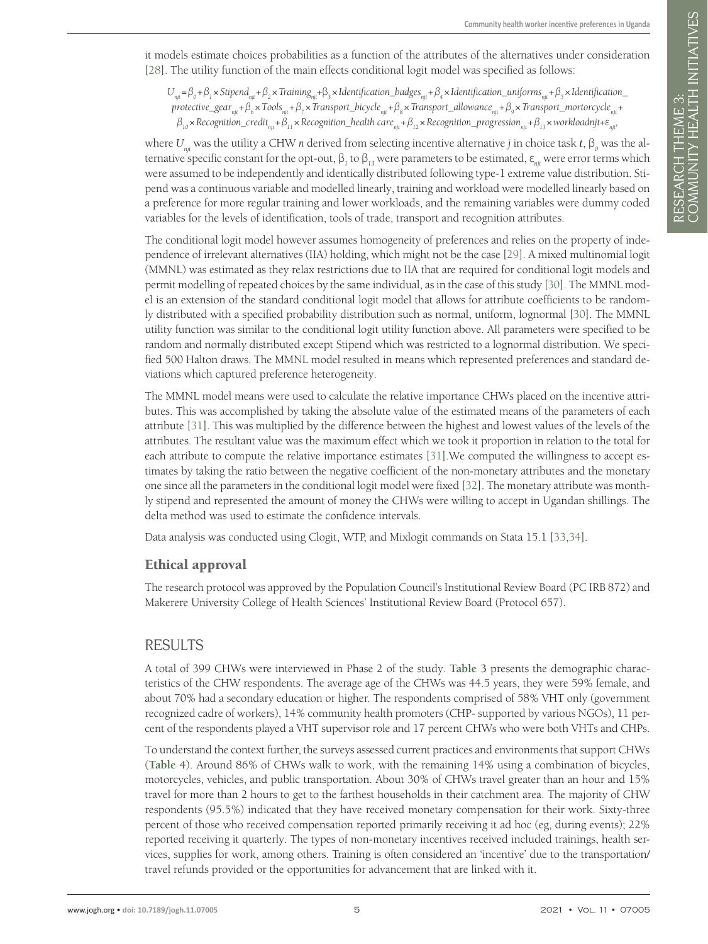it models estimate choices probabilities as a function of the attributes of the alternatives under consideration [\[28](#page-9-13)]. The utility function of the main effects conditional logit model was specified as follows:

 $U_{\mu\nu} = \beta_0 + \beta_1 \times$ Stipend<sub>ar</sub> +  $\beta_2 \times$  Training<sub>ar</sub> +  $\beta_3 \times$  Identification\_badges<sub>nit</sub> +  $\beta_4 \times$  Identification\_uniforms<sub>ar</sub> +  $\beta_5 \times$  Identification\_ *protective\_gear<sub>nit</sub>+β*<sub>*6*</sub>×*Tools<sub>nit</sub>+β*<sub>*7*</sub>×*Transport\_bicycle<sub>nit</sub>+β*<sub>*8*</sub>×*Transport\_allowance<sub>nit</sub>+β<sub><i>6*</sub>×*Transport\_mortorcycle<sub>nit</sub>+ β10*×*Recognition\_creditnjt+β11*×*Recognition\_health carenjt+β12*×*Recognition\_progressionnjt+β13*×*workloadnjt+*ε*njt,*

where  $U_{njt}$  was the utility a CHW *n* derived from selecting incentive alternative *j* in choice task *t*,  $\beta_o$  was the alternative specific constant for the opt-out,  $β_1$  to  $β_{13}$  were parameters to be estimated,  $ε_{njt}$  were error terms which were assumed to be independently and identically distributed following type-1 extreme value distribution. Stipend was a continuous variable and modelled linearly, training and workload were modelled linearly based on a preference for more regular training and lower workloads, and the remaining variables were dummy coded variables for the levels of identification, tools of trade, transport and recognition attributes.

The conditional logit model however assumes homogeneity of preferences and relies on the property of independence of irrelevant alternatives (IIA) holding, which might not be the case [[29\]](#page-9-14). A mixed multinomial logit (MMNL) was estimated as they relax restrictions due to IIA that are required for conditional logit models and permit modelling of repeated choices by the same individual, as in the case of this study [\[30](#page-9-15)]. The MMNL model is an extension of the standard conditional logit model that allows for attribute coefficients to be randomly distributed with a specified probability distribution such as normal, uniform, lognormal [\[30\]](#page-9-15). The MMNL utility function was similar to the conditional logit utility function above. All parameters were specified to be random and normally distributed except Stipend which was restricted to a lognormal distribution. We specified 500 Halton draws. The MMNL model resulted in means which represented preferences and standard deviations which captured preference heterogeneity.

The MMNL model means were used to calculate the relative importance CHWs placed on the incentive attributes. This was accomplished by taking the absolute value of the estimated means of the parameters of each attribute [[31\]](#page-9-16). This was multiplied by the difference between the highest and lowest values of the levels of the attributes. The resultant value was the maximum effect which we took it proportion in relation to the total for each attribute to compute the relative importance estimates [[31\]](#page-9-16).We computed the willingness to accept estimates by taking the ratio between the negative coefficient of the non-monetary attributes and the monetary one since all the parameters in the conditional logit model were fixed [[32\]](#page-10-0). The monetary attribute was monthly stipend and represented the amount of money the CHWs were willing to accept in Ugandan shillings. The delta method was used to estimate the confidence intervals.

Data analysis was conducted using Clogit, WTP, and Mixlogit commands on Stata 15.1 [\[33](#page-10-1),[34\]](#page-10-2).

## Ethical approval

The research protocol was approved by the Population Council's Institutional Review Board (PC IRB 872) and Makerere University College of Health Sciences' Institutional Review Board (Protocol 657).

# RESULTS

A total of 399 CHWs were interviewed in Phase 2 of the study. **[Table 3](#page-5-0)** presents the demographic characteristics of the CHW respondents. The average age of the CHWs was 44.5 years, they were 59% female, and about 70% had a secondary education or higher. The respondents comprised of 58% VHT only (government recognized cadre of workers), 14% community health promoters (CHP- supported by various NGOs), 11 percent of the respondents played a VHT supervisor role and 17 percent CHWs who were both VHTs and CHPs.

To understand the context further, the surveys assessed current practices and environments that support CHWs (**[Table 4](#page-5-1)**). Around 86% of CHWs walk to work, with the remaining 14% using a combination of bicycles, motorcycles, vehicles, and public transportation. About 30% of CHWs travel greater than an hour and 15% travel for more than 2 hours to get to the farthest households in their catchment area. The majority of CHW respondents (95.5%) indicated that they have received monetary compensation for their work. Sixty-three percent of those who received compensation reported primarily receiving it ad hoc (eg, during events); 22% reported receiving it quarterly. The types of non-monetary incentives received included trainings, health services, supplies for work, among others. Training is often considered an 'incentive' due to the transportation/ travel refunds provided or the opportunities for advancement that are linked with it.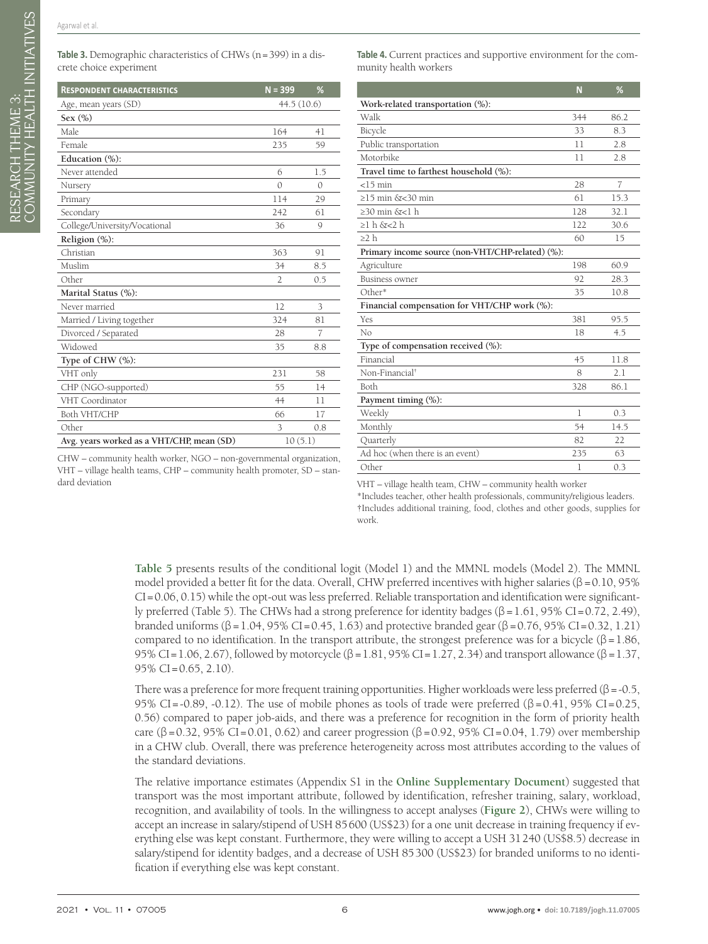| <b>RESPONDENT CHARACTERISTICS</b>         | $N = 399$      | %        |  |
|-------------------------------------------|----------------|----------|--|
| Age, mean years (SD)                      | 44.5(10.6)     |          |  |
| Sex $(\% )$                               |                |          |  |
| Male                                      | 164            | 41       |  |
| Female                                    | 235            | 59       |  |
| Education (%):                            |                |          |  |
| Never attended                            | 6              | 1.5      |  |
| Nursery                                   | $\Omega$       | $\Omega$ |  |
| Primary                                   | 114            | 29       |  |
| Secondary                                 | 242            | 61       |  |
| College/University/Vocational             | 36             | 9        |  |
| Religion $(\%)$ :                         |                |          |  |
| Christian                                 | 363            | 91       |  |
| Muslim                                    | 34             | 8.5      |  |
| Other                                     | $\overline{2}$ | 0.5      |  |
| Marital Status (%):                       |                |          |  |
| Never married                             | 12             | 3        |  |
| Married / Living together                 | 324            | 81       |  |
| Divorced / Separated                      | 28             | 7        |  |
| Widowed                                   | 35             | 8.8      |  |
| Type of CHW $(\%):$                       |                |          |  |
| VHT only                                  | 231            | 58       |  |
| CHP (NGO-supported)                       | 55             | 14       |  |
| VHT Coordinator                           | 44             | 11       |  |
| Both VHT/CHP                              | 66             | 17       |  |
| Other                                     | 3              | 0.8      |  |
| Avg. years worked as a VHT/CHP, mean (SD) | 10(5.1)        |          |  |
|                                           |                |          |  |

<span id="page-5-0"></span>Table 3. Demographic characteristics of CHWs (n=399) in a discrete choice experiment

<span id="page-5-1"></span>Table 4. Current practices and supportive environment for the community health workers

|                                                  | N   | %              |
|--------------------------------------------------|-----|----------------|
| Work-related transportation $(\%)$ :             |     |                |
| Walk                                             | 344 | 86.2           |
| Bicycle                                          | 33  | 8.3            |
| Public transportation                            | 11  | 2.8            |
| Motorbike                                        | 11  | 2.8            |
| Travel time to farthest household (%):           |     |                |
| $<$ 15 min                                       | 28  | $\overline{7}$ |
| $\geq$ 15 min &<30 min                           | 61  | 15.3           |
| $\geq$ 30 min &<1 h                              | 128 | 32.1           |
| $\geq$ l h $\delta$ <2 h                         | 122 | 30.6           |
| $\geq$ 2 h                                       | 60  | 15             |
| Primary income source (non-VHT/CHP-related) (%): |     |                |
| Agriculture                                      | 198 | 60.9           |
| <b>Business owner</b>                            | 92  | 28.3           |
| Other*                                           | 35  | 10.8           |
| Financial compensation for VHT/CHP work (%):     |     |                |
| Yes                                              | 381 | 95.5           |
| No                                               | 18  | 4.5            |
| Type of compensation received (%):               |     |                |
| Financial                                        | 45  | 11.8           |
| Non-Financial <sup>†</sup>                       | 8   | 2.1            |
| Both                                             | 328 | 86.1           |
| Payment timing (%):                              |     |                |
| Weekly                                           | 1   | 0.3            |
| Monthly                                          | 54  | 14.5           |
| Quarterly                                        | 82  | 22             |
| Ad hoc (when there is an event)                  | 235 | 63             |
| Other                                            | 1   | 0.3            |

CHW – community health worker, NGO – non-governmental organization, VHT – village health teams, CHP – community health promoter, SD – standard deviation

VHT – village health team, CHW – community health worker

\*Includes teacher, other health professionals, community/religious leaders. †Includes additional training, food, clothes and other goods, supplies for work.

**[Table 5](#page-6-0)** presents results of the conditional logit (Model 1) and the MMNL models (Model 2). The MMNL model provided a better fit for the data. Overall, CHW preferred incentives with higher salaries ( $\beta$  =0.10, 95%  $CI = 0.06, 0.15$ ) while the opt-out was less preferred. Reliable transportation and identification were significantly preferred (Table 5). The CHWs had a strong preference for identity badges (β =1.61, 95% CI=0.72, 2.49), branded uniforms (β = 1.04, 95% CI = 0.45, 1.63) and protective branded gear (β = 0.76, 95% CI = 0.32, 1.21) compared to no identification. In the transport attribute, the strongest preference was for a bicycle ( $\beta$  = 1.86, 95% CI=1.06, 2.67), followed by motorcycle (β = 1.81, 95% CI=1.27, 2.34) and transport allowance (β = 1.37, 95% CI=0.65, 2.10).

There was a preference for more frequent training opportunities. Higher workloads were less preferred ( $\beta$  =-0.5, 95% CI=-0.89, -0.12). The use of mobile phones as tools of trade were preferred ( $\beta$ =0.41, 95% CI=0.25, 0.56) compared to paper job-aids, and there was a preference for recognition in the form of priority health care (β = 0.32, 95% CI = 0.01, 0.62) and career progression (β = 0.92, 95% CI = 0.04, 1.79) over membership in a CHW club. Overall, there was preference heterogeneity across most attributes according to the values of the standard deviations.

The relative importance estimates (Appendix S1 in the **[Online Supplementary Document](#page-8-5)**) suggested that transport was the most important attribute, followed by identification, refresher training, salary, workload, recognition, and availability of tools. In the willingness to accept analyses (**[Figure 2](#page-6-1)**), CHWs were willing to accept an increase in salary/stipend of USH 85600 (US\$23) for a one unit decrease in training frequency if everything else was kept constant. Furthermore, they were willing to accept a USH 31240 (US\$8.5) decrease in salary/stipend for identity badges, and a decrease of USH 85300 (US\$23) for branded uniforms to no identification if everything else was kept constant.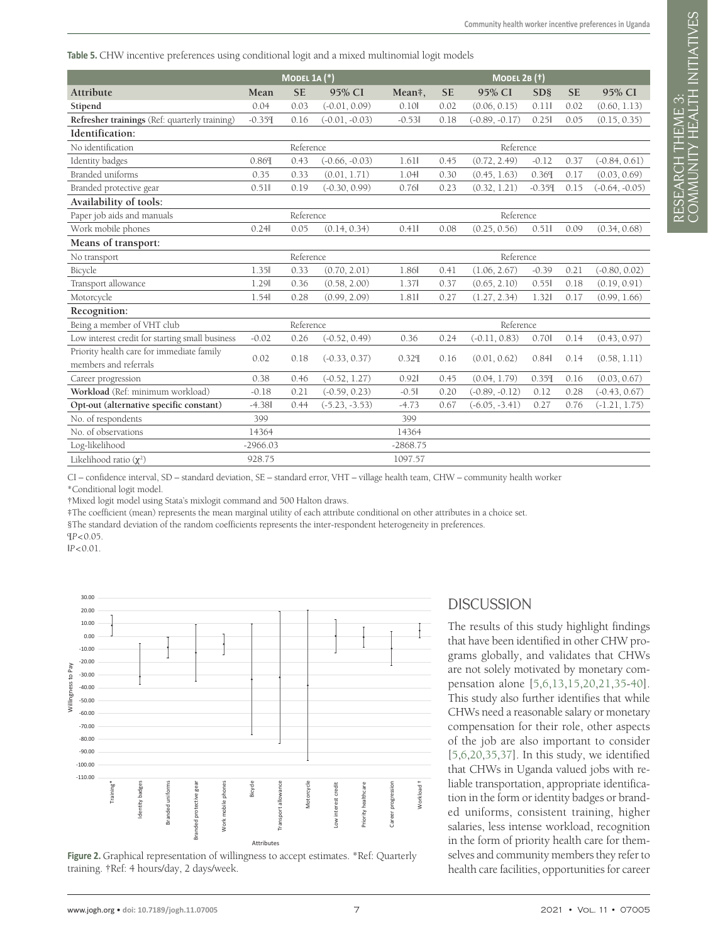#### <span id="page-6-0"></span>**Table 5.** CHW incentive preferences using conditional logit and a mixed multinomial logit models

|                                                                    | MODEL 1A $(*)$ |           |                  |            | <b>MODEL 2B (†)</b> |                  |                       |           |                  |
|--------------------------------------------------------------------|----------------|-----------|------------------|------------|---------------------|------------------|-----------------------|-----------|------------------|
| Attribute                                                          | Mean           | <b>SE</b> | 95% CI           | Mean#,     | <b>SE</b>           | 95% CI           | <b>SD<sub>§</sub></b> | <b>SE</b> | 95% CI           |
| Stipend                                                            | 0.04           | 0.03      | $(-0.01, 0.09)$  | 0.10       | 0.02                | (0.06, 0.15)     | 0.11                  | 0.02      | (0.60, 1.13)     |
| Refresher trainings (Ref: quarterly training)                      | $-0.359$       | 0.16      | $(-0.01, -0.03)$ | $-0.53$    | 0.18                | $(-0.89, -0.17)$ | 0.25                  | 0.05      | (0.15, 0.35)     |
| Identification:                                                    |                |           |                  |            |                     |                  |                       |           |                  |
| No identification                                                  |                | Reference |                  |            | Reference           |                  |                       |           |                  |
| Identity badges                                                    | 0.869          | 0.43      | $(-0.66, -0.03)$ | 1.61       | 0.45                | (0.72, 2.49)     | $-0.12$               | 0.37      | $(-0.84, 0.61)$  |
| Branded uniforms                                                   | 0.35           | 0.33      | (0.01, 1.71)     | 1.04       | 0.30                | (0.45, 1.63)     | 0.369                 | 0.17      | (0.03, 0.69)     |
| Branded protective gear                                            | 0.511          | 0.19      | $(-0.30, 0.99)$  | 0.76       | 0.23                | (0.32, 1.21)     | $-0.359$              | 0.15      | $(-0.64, -0.05)$ |
| Availability of tools:                                             |                |           |                  |            |                     |                  |                       |           |                  |
| Paper job aids and manuals                                         | Reference      |           |                  |            | Reference           |                  |                       |           |                  |
| Work mobile phones                                                 | 0.24           | 0.05      | (0.14, 0.34)     | 0.41       | 0.08                | (0.25, 0.56)     | 0.51                  | 0.09      | (0.34, 0.68)     |
| Means of transport:                                                |                |           |                  |            |                     |                  |                       |           |                  |
| No transport                                                       | Reference      |           |                  |            | Reference           |                  |                       |           |                  |
| Bicycle                                                            | 1.35           | 0.33      | (0.70, 2.01)     | 1.86       | 0.41                | (1.06, 2.67)     | $-0.39$               | 0.21      | $(-0.80, 0.02)$  |
| Transport allowance                                                | 1.29           | 0.36      | (0.58, 2.00)     | 1.37       | 0.37                | (0.65, 2.10)     | 0.55                  | 0.18      | (0.19, 0.91)     |
| Motorcycle                                                         | 1.54           | 0.28      | (0.99, 2.09)     | 1.81       | 0.27                | (1.27, 2.34)     | 1.32                  | 0.17      | (0.99, 1.66)     |
| Recognition:                                                       |                |           |                  |            |                     |                  |                       |           |                  |
| Being a member of VHT club                                         |                | Reference |                  |            | Reference           |                  |                       |           |                  |
| Low interest credit for starting small business                    | $-0.02$        | 0.26      | $(-0.52, 0.49)$  | 0.36       | 0.24                | $(-0.11, 0.83)$  | 0.70                  | 0.14      | (0.43, 0.97)     |
| Priority health care for immediate family<br>members and referrals | 0.02           | 0.18      | $(-0.33, 0.37)$  | 0.329      | 0.16                | (0.01, 0.62)     | 0.84                  | 0.14      | (0.58, 1.11)     |
| Career progression                                                 | 0.38           | 0.46      | $(-0.52, 1.27)$  | 0.92       | 0.45                | (0.04, 1.79)     | 0.359                 | 0.16      | (0.03, 0.67)     |
| Workload (Ref: minimum workload)                                   | $-0.18$        | 0.21      | $(-0.59, 0.23)$  | $-0.5$     | 0.20                | $(-0.89, -0.12)$ | 0.12                  | 0.28      | $(-0.43, 0.67)$  |
| Opt-out (alternative specific constant)                            | $-4.38$        | 0.44      | $(-5.23, -3.53)$ | $-4.73$    | 0.67                | $(-6.05, -3.41)$ | 0.27                  | 0.76      | $(-1.21, 1.75)$  |
| No. of respondents                                                 | 399            |           |                  | 399        |                     |                  |                       |           |                  |
| No. of observations                                                | 14364          |           |                  | 14364      |                     |                  |                       |           |                  |
| Log-likelihood                                                     | $-2966.03$     |           |                  | $-2868.75$ |                     |                  |                       |           |                  |
| Likelihood ratio $(\chi^2)$                                        | 928.75         |           |                  | 1097.57    |                     |                  |                       |           |                  |

CI – confidence interval, SD – standard deviation, SE – standard error, VHT – village health team, CHW – community health worker \*Conditional logit model.

†Mixed logit model using Stata's mixlogit command and 500 Halton draws.

‡The coefficient (mean) represents the mean marginal utility of each attribute conditional on other attributes in a choice set.

§The standard deviation of the random coefficients represents the inter-respondent heterogeneity in preferences.

¶*P*<0.05.

‖*P*<0.01.

<span id="page-6-1"></span>



## **DISCUSSION**

The results of this study highlight findings that have been identified in other CHW programs globally, and validates that CHWs are not solely motivated by monetary compensation alone [[5](#page-8-4)[,6](#page-8-6)[,13](#page-9-17)[,15,](#page-9-6)[20](#page-9-18),[21](#page-9-5),[35](#page-10-3)-[40](#page-10-4)]. This study also further identifies that while CHWs need a reasonable salary or monetary compensation for their role, other aspects of the job are also important to consider [\[5](#page-8-4),[6](#page-8-6)[,20,](#page-9-18)[35](#page-10-3),[37](#page-10-5)]. In this study, we identified that CHWs in Uganda valued jobs with reliable transportation, appropriate identification in the form or identity badges or branded uniforms, consistent training, higher salaries, less intense workload, recognition in the form of priority health care for themselves and community members they refer to health care facilities, opportunities for career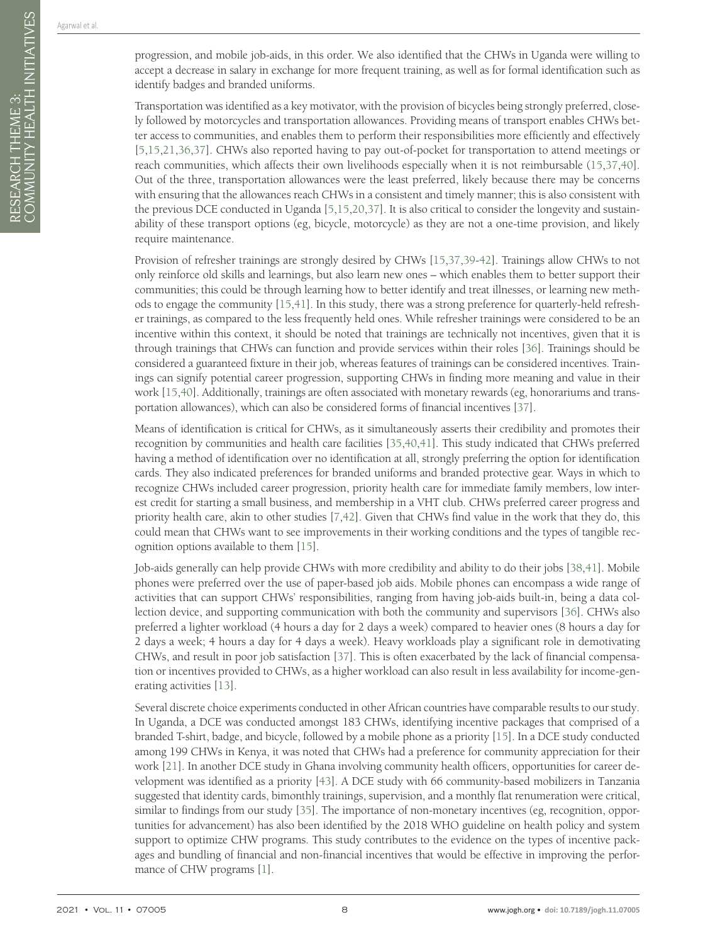progression, and mobile job-aids, in this order. We also identified that the CHWs in Uganda were willing to accept a decrease in salary in exchange for more frequent training, as well as for formal identification such as identify badges and branded uniforms.

Transportation was identified as a key motivator, with the provision of bicycles being strongly preferred, closely followed by motorcycles and transportation allowances. Providing means of transport enables CHWs better access to communities, and enables them to perform their responsibilities more efficiently and effectively [[5](#page-8-4)[,15,](#page-9-6)[21](#page-9-5)[,36](#page-10-6),[37](#page-10-5)]. CHWs also reported having to pay out-of-pocket for transportation to attend meetings or reach communities, which affects their own livelihoods especially when it is not reimbursable ([15](#page-9-6),[37](#page-10-5)[,40\]](#page-10-4). Out of the three, transportation allowances were the least preferred, likely because there may be concerns with ensuring that the allowances reach CHWs in a consistent and timely manner; this is also consistent with the previous DCE conducted in Uganda [[5,](#page-8-4)[15](#page-9-6)[,20,](#page-9-18)[37](#page-10-5)]. It is also critical to consider the longevity and sustainability of these transport options (eg, bicycle, motorcycle) as they are not a one-time provision, and likely require maintenance.

Provision of refresher trainings are strongly desired by CHWs [\[15,](#page-9-6)[37](#page-10-5),[39](#page-10-7)[-42](#page-10-8)]. Trainings allow CHWs to not only reinforce old skills and learnings, but also learn new ones – which enables them to better support their communities; this could be through learning how to better identify and treat illnesses, or learning new methods to engage the community [\[15](#page-9-6),[41\]](#page-10-9). In this study, there was a strong preference for quarterly-held refresher trainings, as compared to the less frequently held ones. While refresher trainings were considered to be an incentive within this context, it should be noted that trainings are technically not incentives, given that it is through trainings that CHWs can function and provide services within their roles [\[36](#page-10-6)]. Trainings should be considered a guaranteed fixture in their job, whereas features of trainings can be considered incentives. Trainings can signify potential career progression, supporting CHWs in finding more meaning and value in their work [\[15](#page-9-6),[40](#page-10-4)]. Additionally, trainings are often associated with monetary rewards (eg, honorariums and transportation allowances), which can also be considered forms of financial incentives [\[37](#page-10-5)].

Means of identification is critical for CHWs, as it simultaneously asserts their credibility and promotes their recognition by communities and health care facilities [\[35](#page-10-3),[40](#page-10-4)[,41](#page-10-9)]. This study indicated that CHWs preferred having a method of identification over no identification at all, strongly preferring the option for identification cards. They also indicated preferences for branded uniforms and branded protective gear. Ways in which to recognize CHWs included career progression, priority health care for immediate family members, low interest credit for starting a small business, and membership in a VHT club. CHWs preferred career progress and priority health care, akin to other studies [[7](#page-9-0)[,42\]](#page-10-8). Given that CHWs find value in the work that they do, this could mean that CHWs want to see improvements in their working conditions and the types of tangible recognition options available to them [[15\]](#page-9-6).

Job-aids generally can help provide CHWs with more credibility and ability to do their jobs [[38,](#page-10-10)[41\]](#page-10-9). Mobile phones were preferred over the use of paper-based job aids. Mobile phones can encompass a wide range of activities that can support CHWs' responsibilities, ranging from having job-aids built-in, being a data collection device, and supporting communication with both the community and supervisors [\[36](#page-10-6)]. CHWs also preferred a lighter workload (4 hours a day for 2 days a week) compared to heavier ones (8 hours a day for 2 days a week; 4 hours a day for 4 days a week). Heavy workloads play a significant role in demotivating CHWs, and result in poor job satisfaction [[37](#page-10-5)]. This is often exacerbated by the lack of financial compensation or incentives provided to CHWs, as a higher workload can also result in less availability for income-generating activities [\[13\]](#page-9-17).

Several discrete choice experiments conducted in other African countries have comparable results to our study. In Uganda, a DCE was conducted amongst 183 CHWs, identifying incentive packages that comprised of a branded T-shirt, badge, and bicycle, followed by a mobile phone as a priority [\[15](#page-9-6)]. In a DCE study conducted among 199 CHWs in Kenya, it was noted that CHWs had a preference for community appreciation for their work [\[21\]](#page-9-5). In another DCE study in Ghana involving community health officers, opportunities for career development was identified as a priority [\[43\]](#page-10-11). A DCE study with 66 community-based mobilizers in Tanzania suggested that identity cards, bimonthly trainings, supervision, and a monthly flat renumeration were critical, similar to findings from our study [\[35](#page-10-3)]. The importance of non-monetary incentives (eg, recognition, opportunities for advancement) has also been identified by the 2018 WHO guideline on health policy and system support to optimize CHW programs. This study contributes to the evidence on the types of incentive packages and bundling of financial and non-financial incentives that would be effective in improving the performance of CHW programs [[1\]](#page-8-0).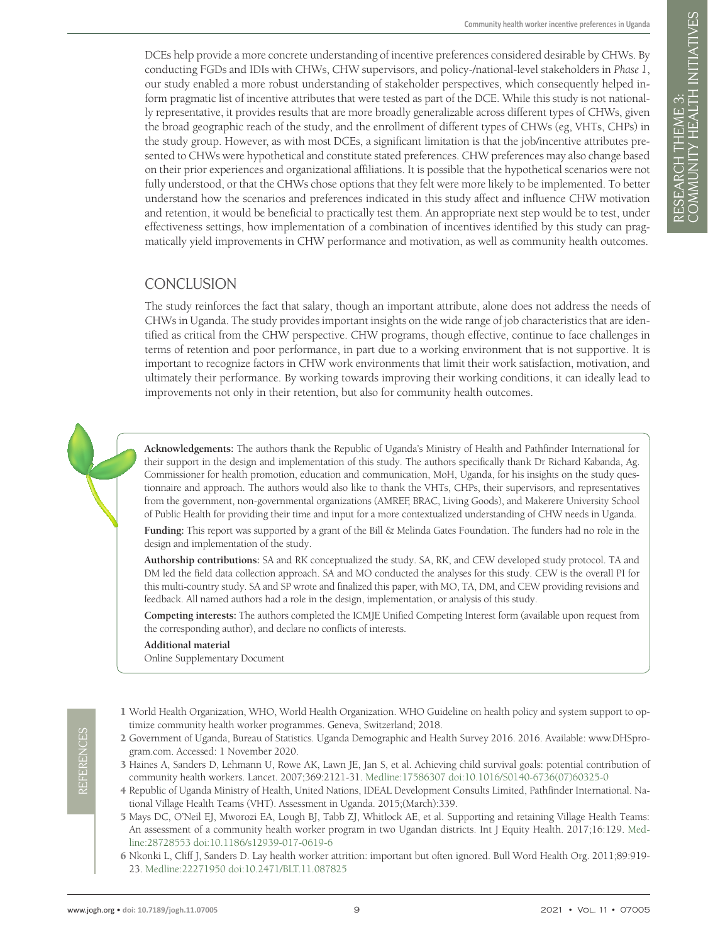DCEs help provide a more concrete understanding of incentive preferences considered desirable by CHWs. By conducting FGDs and IDIs with CHWs, CHW supervisors, and policy-/national-level stakeholders in *Phase 1*, our study enabled a more robust understanding of stakeholder perspectives, which consequently helped inform pragmatic list of incentive attributes that were tested as part of the DCE. While this study is not nationally representative, it provides results that are more broadly generalizable across different types of CHWs, given the broad geographic reach of the study, and the enrollment of different types of CHWs (eg, VHTs, CHPs) in the study group. However, as with most DCEs, a significant limitation is that the job/incentive attributes presented to CHWs were hypothetical and constitute stated preferences. CHW preferences may also change based on their prior experiences and organizational affiliations. It is possible that the hypothetical scenarios were not fully understood, or that the CHWs chose options that they felt were more likely to be implemented. To better understand how the scenarios and preferences indicated in this study affect and influence CHW motivation and retention, it would be beneficial to practically test them. An appropriate next step would be to test, under effectiveness settings, how implementation of a combination of incentives identified by this study can pragmatically yield improvements in CHW performance and motivation, as well as community health outcomes.

## **CONCLUSION**

The study reinforces the fact that salary, though an important attribute, alone does not address the needs of CHWs in Uganda. The study provides important insights on the wide range of job characteristics that are identified as critical from the CHW perspective. CHW programs, though effective, continue to face challenges in terms of retention and poor performance, in part due to a working environment that is not supportive. It is important to recognize factors in CHW work environments that limit their work satisfaction, motivation, and ultimately their performance. By working towards improving their working conditions, it can ideally lead to improvements not only in their retention, but also for community health outcomes.

**Acknowledgements:** The authors thank the Republic of Uganda's Ministry of Health and Pathfinder International for their support in the design and implementation of this study. The authors specifically thank Dr Richard Kabanda, Ag. Commissioner for health promotion, education and communication, MoH, Uganda, for his insights on the study questionnaire and approach. The authors would also like to thank the VHTs, CHPs, their supervisors, and representatives from the government, non-governmental organizations (AMREF, BRAC, Living Goods), and Makerere University School of Public Health for providing their time and input for a more contextualized understanding of CHW needs in Uganda.

**Funding:** This report was supported by a grant of the Bill & Melinda Gates Foundation. The funders had no role in the design and implementation of the study.

**Authorship contributions:** SA and RK conceptualized the study. SA, RK, and CEW developed study protocol. TA and DM led the field data collection approach. SA and MO conducted the analyses for this study. CEW is the overall PI for this multi-country study. SA and SP wrote and finalized this paper, with MO, TA, DM, and CEW providing revisions and feedback. All named authors had a role in the design, implementation, or analysis of this study.

**Competing interests:** The authors completed the ICMJE Unified Competing Interest form (available upon request from the corresponding author), and declare no conflicts of interests.

#### **Additional material**

<span id="page-8-5"></span>[Online Supplementary Document](http://jogh.org/documents/2021/jogh-11-07005-s001.pdf)

- <span id="page-8-0"></span>1 World Health Organization, WHO, World Health Organization. WHO Guideline on health policy and system support to optimize community health worker programmes. Geneva, Switzerland; 2018.
- <span id="page-8-1"></span>2 Government of Uganda, Bureau of Statistics. Uganda Demographic and Health Survey 2016. 2016. Available: www.DHSprogram.com. Accessed: 1 November 2020.
- <span id="page-8-2"></span>3 Haines A, Sanders D, Lehmann U, Rowe AK, Lawn JE, Jan S, et al. Achieving child survival goals: potential contribution of community health workers. Lancet. 2007;369:2121-31. [Medline:17586307](https://www.ncbi.nlm.nih.gov/entrez/query.fcgi?cmd=Retrieve&db=PubMed&list_uids=17586307&dopt=Abstract) [doi:10.1016/S0140-6736\(07\)60325-0](https://doi.org/10.1016/S0140-6736(07)60325-0)
- <span id="page-8-3"></span>4 Republic of Uganda Ministry of Health, United Nations, IDEAL Development Consults Limited, Pathfinder International. National Village Health Teams (VHT). Assessment in Uganda. 2015;(March):339.
- <span id="page-8-4"></span>5 Mays DC, O'Neil EJ, Mworozi EA, Lough BJ, Tabb ZJ, Whitlock AE, et al. Supporting and retaining Village Health Teams: An assessment of a community health worker program in two Ugandan districts. Int J Equity Health. 2017;16:129. [Med](https://www.ncbi.nlm.nih.gov/entrez/query.fcgi?cmd=Retrieve&db=PubMed&list_uids=28728553&dopt=Abstract)[line:28728553](https://www.ncbi.nlm.nih.gov/entrez/query.fcgi?cmd=Retrieve&db=PubMed&list_uids=28728553&dopt=Abstract) [doi:10.1186/s12939-017-0619-6](https://doi.org/10.1186/s12939-017-0619-6)
- <span id="page-8-6"></span>6 Nkonki L, Cliff J, Sanders D. Lay health worker attrition: important but often ignored. Bull Word Health Org. 2011;89:919- 23. [Medline:22271950](https://www.ncbi.nlm.nih.gov/entrez/query.fcgi?cmd=Retrieve&db=PubMed&list_uids=22271950&dopt=Abstract) [doi:10.2471/BLT.11.087825](https://doi.org/10.2471/BLT.11.087825)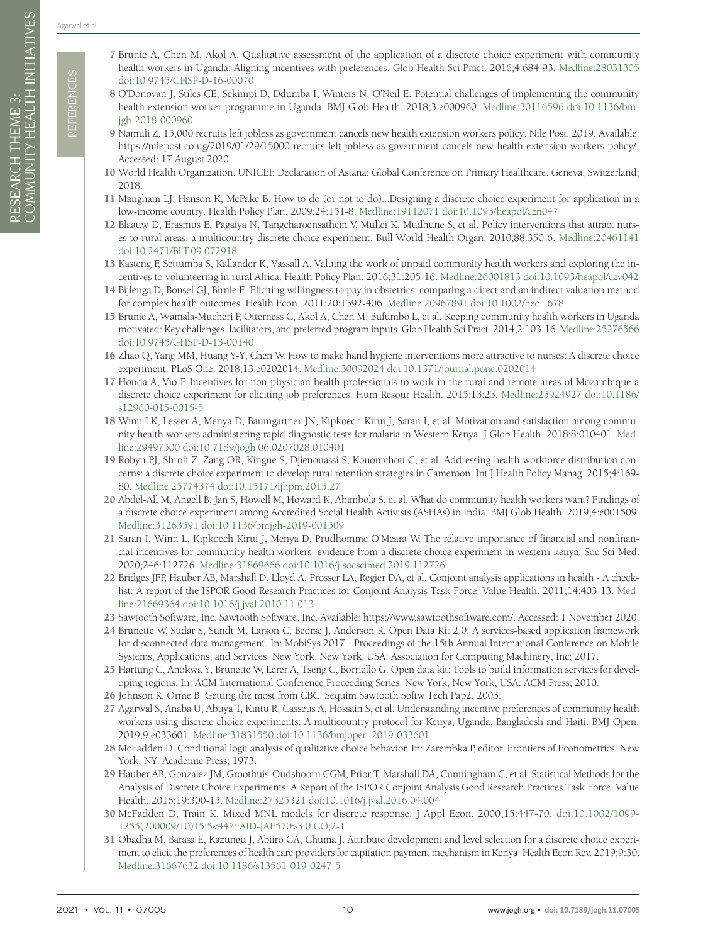Agarwal et al.

- <span id="page-9-0"></span>7 Brunie A, Chen M, Akol A. Qualitative assessment of the application of a discrete choice experiment with community health workers in Uganda: Aligning incentives with preferences. Glob Health Sci Pract. 2016;4:684-93. [Medline:28031305](https://www.ncbi.nlm.nih.gov/entrez/query.fcgi?cmd=Retrieve&db=PubMed&list_uids=28031305&dopt=Abstract) [doi:10.9745/GHSP-D-16-00070](https://doi.org/10.9745/GHSP-D-16-00070)
- <span id="page-9-1"></span>8 O'Donovan J, Stiles CE, Sekimpi D, Ddumba I, Winters N, O'Neil E. Potential challenges of implementing the community health extension worker programme in Uganda. BMJ Glob Health. 2018;3:e000960. [Medline:30116596](https://www.ncbi.nlm.nih.gov/entrez/query.fcgi?cmd=Retrieve&db=PubMed&list_uids=30116596&dopt=Abstract) [doi:10.1136/bm](https://doi.org/10.1136/bmjgh-2018-000960)[jgh-2018-000960](https://doi.org/10.1136/bmjgh-2018-000960)
- <span id="page-9-2"></span>9 Namuli Z. 15,000 recruits left jobless as government cancels new health extension workers policy. Nile Post. 2019. Available: https://nilepost.co.ug/2019/01/29/15000-recruits-left-jobless-as-government-cancels-new-health-extension-workers-policy/. Accessed: 17 August 2020.
- <span id="page-9-3"></span>10 World Health Organization. UNICEF. Declaration of Astana: Global Conference on Primary Healthcare. Geneva, Switzerland; 2018.
- <span id="page-9-4"></span>11 Mangham LJ, Hanson K, McPake B. How to do (or not to do)...Designing a discrete choice experiment for application in a low-income country. Health Policy Plan. 2009;24:151-8. [Medline:19112071](https://www.ncbi.nlm.nih.gov/entrez/query.fcgi?cmd=Retrieve&db=PubMed&list_uids=19112071&dopt=Abstract) [doi:10.1093/heapol/czn047](https://doi.org/10.1093/heapol/czn047)
- 12 Blaauw D, Erasmus E, Pagaiya N, Tangcharoensathein V, Mullei K, Mudhune S, et al. Policy interventions that attract nurses to rural areas: a multicountry discrete choice experiment. Bull World Health Organ. 2010;88:350-6. [Medline:20461141](https://www.ncbi.nlm.nih.gov/entrez/query.fcgi?cmd=Retrieve&db=PubMed&list_uids=20461141&dopt=Abstract) [doi:10.2471/BLT.09.072918](https://doi.org/10.2471/BLT.09.072918)
- <span id="page-9-17"></span>13 Kasteng F, Settumba S, Källander K, Vassall A. Valuing the work of unpaid community health workers and exploring the incentives to volunteering in rural Africa. Health Policy Plan. 2016;31:205-16. [Medline:26001813](https://www.ncbi.nlm.nih.gov/entrez/query.fcgi?cmd=Retrieve&db=PubMed&list_uids=26001813&dopt=Abstract) [doi:10.1093/heapol/czv042](https://doi.org/10.1093/heapol/czv042)
- 14 Bijlenga D, Bonsel GJ, Birnie E. Eliciting willingness to pay in obstetrics: comparing a direct and an indirect valuation method for complex health outcomes. Health Econ. 2011;20:1392-406. [Medline:20967891](https://www.ncbi.nlm.nih.gov/entrez/query.fcgi?cmd=Retrieve&db=PubMed&list_uids=20967891&dopt=Abstract) [doi:10.1002/hec.1678](https://doi.org/10.1002/hec.1678)
- <span id="page-9-6"></span>15 Brunie A, Wamala-Mucheri P, Otterness C, Akol A, Chen M, Bufumbo L, et al. Keeping community health workers in Uganda motivated: Key challenges, facilitators, and preferred program inputs. Glob Health Sci Pract. 2014;2:103-16. [Medline:25276566](https://www.ncbi.nlm.nih.gov/entrez/query.fcgi?cmd=Retrieve&db=PubMed&list_uids=25276566&dopt=Abstract) [doi:10.9745/GHSP-D-13-00140](https://doi.org/10.9745/GHSP-D-13-00140)
- 16 Zhao Q, Yang MM, Huang Y-Y, Chen W. How to make hand hygiene interventions more attractive to nurses: A discrete choice experiment. PLoS One. 2018;13:e0202014. [Medline:30092024](https://www.ncbi.nlm.nih.gov/entrez/query.fcgi?cmd=Retrieve&db=PubMed&list_uids=30092024&dopt=Abstract) [doi:10.1371/journal.pone.0202014](https://doi.org/10.1371/journal.pone.0202014)
- 17 Honda A, Vio F. Incentives for non-physician health professionals to work in the rural and remote areas of Mozambique-a discrete choice experiment for eliciting job preferences. Hum Resour Health. 2015;13:23. [Medline:25924927](https://www.ncbi.nlm.nih.gov/entrez/query.fcgi?cmd=Retrieve&db=PubMed&list_uids=25924927&dopt=Abstract) [doi:10.1186/](https://doi.org/10.1186/s12960-015-0015-5) [s12960-015-0015-5](https://doi.org/10.1186/s12960-015-0015-5)
- 18 Winn LK, Lesser A, Menya D, Baumgartner JN, Kipkoech Kirui J, Saran I, et al. Motivation and satisfaction among community health workers administering rapid diagnostic tests for malaria in Western Kenya. J Glob Health. 2018;8:010401. [Med](https://www.ncbi.nlm.nih.gov/entrez/query.fcgi?cmd=Retrieve&db=PubMed&list_uids=29497500&dopt=Abstract)[line:29497500](https://www.ncbi.nlm.nih.gov/entrez/query.fcgi?cmd=Retrieve&db=PubMed&list_uids=29497500&dopt=Abstract) [doi:10.7189/jogh.06.0207028.010401](https://doi.org/10.7189/jogh.06.0207028.010401)
- 19 Robyn PJ, Shroff Z, Zang OR, Kingue S, Djienouassi S, Kouontchou C, et al. Addressing health workforce distribution concerns: a discrete choice experiment to develop rural retention strategies in Cameroon. Int J Health Policy Manag. 2015;4:169- 80. [Medline:25774374](https://www.ncbi.nlm.nih.gov/entrez/query.fcgi?cmd=Retrieve&db=PubMed&list_uids=25774374&dopt=Abstract) [doi:10.15171/ijhpm.2015.27](https://doi.org/10.15171/ijhpm.2015.27)
- <span id="page-9-18"></span>20 Abdel-All M, Angell B, Jan S, Howell M, Howard K, Abimbola S, et al. What do community health workers want? Findings of a discrete choice experiment among Accredited Social Health Activists (ASHAs) in India. BMJ Glob Health. 2019;4:e001509. [Medline:31263591](https://www.ncbi.nlm.nih.gov/entrez/query.fcgi?cmd=Retrieve&db=PubMed&list_uids=31263591&dopt=Abstract) [doi:10.1136/bmjgh-2019-001509](https://doi.org/10.1136/bmjgh-2019-001509)
- <span id="page-9-5"></span>21 Saran I, Winn L, Kipkoech Kirui J, Menya D, Prudhomme O'Meara W. The relative importance of financial and nonfinancial incentives for community health workers: evidence from a discrete choice experiment in western kenya. Soc Sci Med. 2020;246:112726. [Medline:31869666](https://www.ncbi.nlm.nih.gov/entrez/query.fcgi?cmd=Retrieve&db=PubMed&list_uids=31869666&dopt=Abstract) [doi:10.1016/j.socscimed.2019.112726](https://doi.org/10.1016/j.socscimed.2019.112726)
- <span id="page-9-7"></span>22 Bridges JFP, Hauber AB, Marshall D, Lloyd A, Prosser LA, Regier DA, et al. Conjoint analysis applications in health - A checklist: A report of the ISPOR Good Research Practices for Conjoint Analysis Task Force. Value Health. 2011;14:403-13. [Med](https://www.ncbi.nlm.nih.gov/entrez/query.fcgi?cmd=Retrieve&db=PubMed&list_uids=21669364&dopt=Abstract)[line:21669364](https://www.ncbi.nlm.nih.gov/entrez/query.fcgi?cmd=Retrieve&db=PubMed&list_uids=21669364&dopt=Abstract) [doi:10.1016/j.jval.2010.11.013](https://doi.org/10.1016/j.jval.2010.11.013)
- <span id="page-9-16"></span><span id="page-9-15"></span><span id="page-9-14"></span><span id="page-9-13"></span><span id="page-9-12"></span><span id="page-9-11"></span><span id="page-9-10"></span><span id="page-9-9"></span><span id="page-9-8"></span>23 Sawtooth Software, Inc. Sawtooth Software, Inc. Available: https://www.sawtoothsoftware.com/. Accessed: 1 November 2020.
- 2021 College Street College Street College Street College Street College Street College Street College Street College Street College Street College Street College Street College Street College Street College Street Coll 24 Brunette W, Sudar S, Sundt M, Larson C, Beorse J, Anderson R. Open Data Kit 2.0: A services-based application framework for disconnected data management. In: MobiSys 2017 - Proceedings of the 15th Annual International Conference on Mobile Systems, Applications, and Services. New York, New York, USA: Association for Computing Machinery, Inc; 2017.
	- 25 Hartung C, Anokwa Y, Brunette W, Lerer A, Tseng C, Borriello G. Open data kit: Tools to build information services for developing regions. In: ACM International Conference Proceeding Series. New York, New York, USA: ACM Press; 2010.
	- 26 Johnson R, Orme B. Getting the most from CBC. Sequim Sawtooth Softw Tech Pap2. 2003.
	- 27 Agarwal S, Anaba U, Abuya T, Kintu R, Casseus A, Hossain S, et al. Understanding incentive preferences of community health workers using discrete choice experiments: A multicountry protocol for Kenya, Uganda, Bangladesh and Haiti. BMJ Open. 2019;9:e033601. [Medline:31831550](https://www.ncbi.nlm.nih.gov/entrez/query.fcgi?cmd=Retrieve&db=PubMed&list_uids=31831550&dopt=Abstract) [doi:10.1136/bmjopen-2019-033601](https://doi.org/10.1136/bmjopen-2019-033601)
	- 28 McFadden D. Conditional logit analysis of qualitative choice behavior. In: Zarembka P, editor. Frontiers of Econometrics. New York, NY: Academic Press; 1973.
	- 29 Hauber AB, Gonzalez JM, Groothuis-Oudshoorn CGM, Prior T, Marshall DA, Cunningham C, et al. Statistical Methods for the Analysis of Discrete Choice Experiments: A Report of the ISPOR Conjoint Analysis Good Research Practices Task Force. Value Health. 2016;19:300-15. [Medline:27325321](https://www.ncbi.nlm.nih.gov/entrez/query.fcgi?cmd=Retrieve&db=PubMed&list_uids=27325321&dopt=Abstract) [doi:10.1016/j.jval.2016.04.004](https://doi.org/10.1016/j.jval.2016.04.004)
	- 30 McFadden D, Train K. Mixed MNL models for discrete response. J Appl Econ. 2000;15:447-70. [doi:10.1002/1099-](https://doi.org/10.1002/1099-1255(200009/10)15:5%3c447::AID-JAE570%3e3.0.CO;2-1) [1255\(200009/10\)15:5<447::AID-JAE570>3.0.CO;2-1](https://doi.org/10.1002/1099-1255(200009/10)15:5%3c447::AID-JAE570%3e3.0.CO;2-1)
	- 31 Obadha M, Barasa E, Kazungu J, Abiiro GA, Chuma J. Attribute development and level selection for a discrete choice experiment to elicit the preferences of health care providers for capitation payment mechanism in Kenya. Health Econ Rev. 2019;9:30. [Medline:31667632](https://www.ncbi.nlm.nih.gov/entrez/query.fcgi?cmd=Retrieve&db=PubMed&list_uids=31667632&dopt=Abstract) [doi:10.1186/s13561-019-0247-5](https://doi.org/10.1186/s13561-019-0247-5)